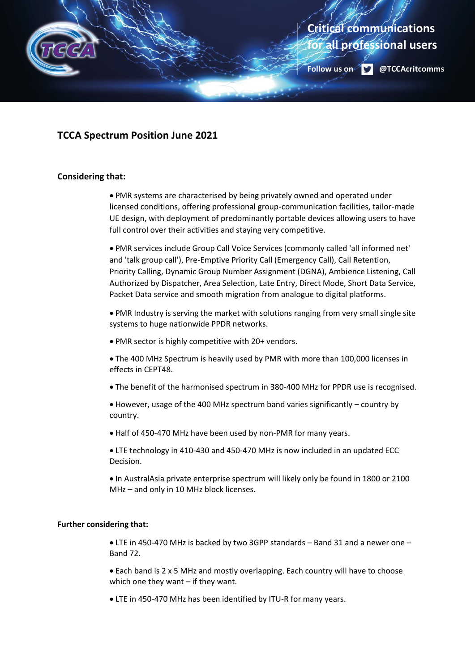

## **TCCA Spectrum Position June 2021**

## **Considering that:**

• PMR systems are characterised by being privately owned and operated under licensed conditions, offering professional group-communication facilities, tailor-made UE design, with deployment of predominantly portable devices allowing users to have full control over their activities and staying very competitive.

• PMR services include Group Call Voice Services (commonly called 'all informed net' and 'talk group call'), Pre-Emptive Priority Call (Emergency Call), Call Retention, Priority Calling, Dynamic Group Number Assignment (DGNA), Ambience Listening, Call Authorized by Dispatcher, Area Selection, Late Entry, Direct Mode, Short Data Service, Packet Data service and smooth migration from analogue to digital platforms.

• PMR Industry is serving the market with solutions ranging from very small single site systems to huge nationwide PPDR networks.

• PMR sector is highly competitive with 20+ vendors.

• The 400 MHz Spectrum is heavily used by PMR with more than 100,000 licenses in effects in CEPT48.

• The benefit of the harmonised spectrum in 380-400 MHz for PPDR use is recognised.

• However, usage of the 400 MHz spectrum band varies significantly – country by country.

• Half of 450-470 MHz have been used by non-PMR for many years.

• LTE technology in 410-430 and 450-470 MHz is now included in an updated ECC Decision.

• In AustralAsia private enterprise spectrum will likely only be found in 1800 or 2100 MHz – and only in 10 MHz block licenses.

## **Further considering that:**

• LTE in 450-470 MHz is backed by two 3GPP standards – Band 31 and a newer one – Band 72.

• Each band is 2 x 5 MHz and mostly overlapping. Each country will have to choose which one they want – if they want.

• LTE in 450-470 MHz has been identified by ITU-R for many years.